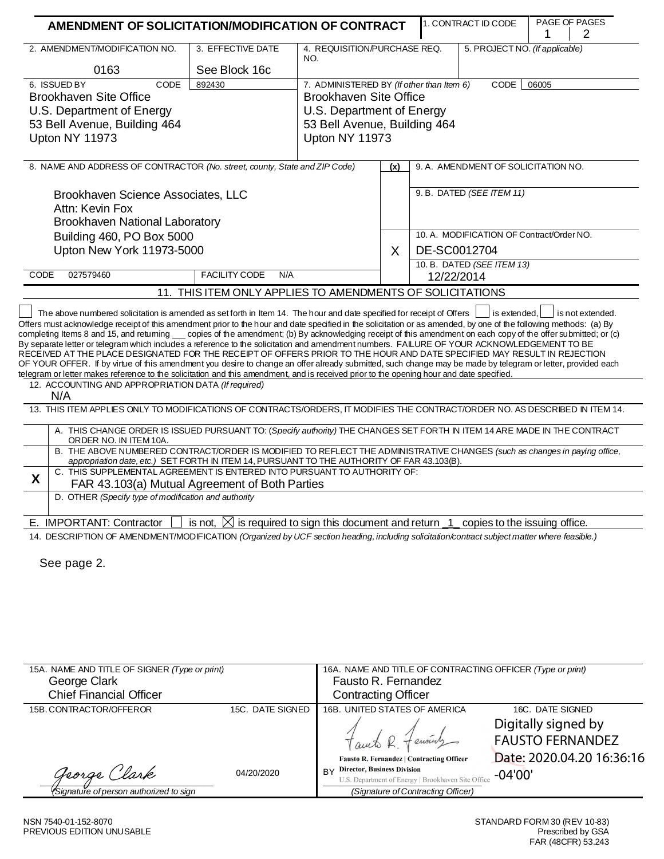| AMENDMENT OF SOLICITATION/MODIFICATION OF CONTRACT                                                                                                                                                                                                                                                                                                                    |                                                                                |                                                           |                                     |                           | 1. CONTRACT ID CODE                       | PAGE OF PAGES<br>1<br>2 |  |
|-----------------------------------------------------------------------------------------------------------------------------------------------------------------------------------------------------------------------------------------------------------------------------------------------------------------------------------------------------------------------|--------------------------------------------------------------------------------|-----------------------------------------------------------|-------------------------------------|---------------------------|-------------------------------------------|-------------------------|--|
| 2. AMENDMENT/MODIFICATION NO.                                                                                                                                                                                                                                                                                                                                         | 3. EFFECTIVE DATE                                                              | 4. REQUISITION/PURCHASE REQ.<br>NO.                       |                                     |                           | 5. PROJECT NO. (If applicable)            |                         |  |
| 0163                                                                                                                                                                                                                                                                                                                                                                  | See Block 16c                                                                  |                                                           |                                     |                           |                                           |                         |  |
| 6. ISSUED BY<br>CODE                                                                                                                                                                                                                                                                                                                                                  | 892430                                                                         | 7. ADMINISTERED BY (If other than Item 6)                 |                                     |                           | CODE                                      | 06005                   |  |
| <b>Brookhaven Site Office</b>                                                                                                                                                                                                                                                                                                                                         |                                                                                | <b>Brookhaven Site Office</b>                             |                                     |                           |                                           |                         |  |
| U.S. Department of Energy<br>53 Bell Avenue, Building 464                                                                                                                                                                                                                                                                                                             |                                                                                | U.S. Department of Energy<br>53 Bell Avenue, Building 464 |                                     |                           |                                           |                         |  |
|                                                                                                                                                                                                                                                                                                                                                                       |                                                                                |                                                           |                                     |                           |                                           |                         |  |
| 8. NAME AND ADDRESS OF CONTRACTOR (No. street, county, State and ZIP Code)                                                                                                                                                                                                                                                                                            |                                                                                | (x)                                                       | 9. A. AMENDMENT OF SOLICITATION NO. |                           |                                           |                         |  |
|                                                                                                                                                                                                                                                                                                                                                                       |                                                                                |                                                           |                                     | 9. B. DATED (SEE ITEM 11) |                                           |                         |  |
| Brookhaven Science Associates, LLC<br>Attn: Kevin Fox                                                                                                                                                                                                                                                                                                                 |                                                                                |                                                           |                                     |                           |                                           |                         |  |
| Brookhaven National Laboratory                                                                                                                                                                                                                                                                                                                                        |                                                                                |                                                           |                                     |                           |                                           |                         |  |
| Building 460, PO Box 5000                                                                                                                                                                                                                                                                                                                                             |                                                                                |                                                           |                                     |                           | 10. A. MODIFICATION OF Contract/Order NO. |                         |  |
| Upton New York 11973-5000                                                                                                                                                                                                                                                                                                                                             |                                                                                |                                                           | X                                   |                           | DE-SC0012704                              |                         |  |
|                                                                                                                                                                                                                                                                                                                                                                       |                                                                                |                                                           |                                     |                           | 10. B. DATED (SEE ITEM 13)                |                         |  |
| CODE<br>027579460                                                                                                                                                                                                                                                                                                                                                     | <b>FACILITY CODE</b><br>N/A                                                    |                                                           |                                     |                           | 12/22/2014                                |                         |  |
|                                                                                                                                                                                                                                                                                                                                                                       | 11. THIS ITEM ONLY APPLIES TO AMENDMENTS OF SOLICITATIONS                      |                                                           |                                     |                           |                                           |                         |  |
| OF YOUR OFFER. If by virtue of this amendment you desire to change an offer already submitted, such change may be made by telegram or letter, provided each<br>telegram or letter makes reference to the solicitation and this amendment, and is received prior to the opening hour and date specified.<br>12. ACCOUNTING AND APPROPRIATION DATA (If required)<br>N/A |                                                                                |                                                           |                                     |                           |                                           |                         |  |
| 13. THIS ITEM APPLIES ONLY TO MODIFICATIONS OF CONTRACTS/ORDERS, IT MODIFIES THE CONTRACT/ORDER NO. AS DESCRIBED IN ITEM 14.                                                                                                                                                                                                                                          |                                                                                |                                                           |                                     |                           |                                           |                         |  |
| A. THIS CHANGE ORDER IS ISSUED PURSUANT TO: (Specify authority) THE CHANGES SET FORTH IN ITEM 14 ARE MADE IN THE CONTRACT<br>ORDER NO. IN ITEM 10A.                                                                                                                                                                                                                   |                                                                                |                                                           |                                     |                           |                                           |                         |  |
| B. THE ABOVE NUMBERED CONTRACT/ORDER IS MODIFIED TO REFLECT THE ADMINISTRATIVE CHANGES (such as changes in paying office,<br>appropriation date, etc.) SET FORTH IN ITEM 14, PURSUANT TO THE AUTHORITY OF FAR 43.103(B).                                                                                                                                              |                                                                                |                                                           |                                     |                           |                                           |                         |  |
| C. THIS SUPPLEMENTAL AGREEMENT IS ENTERED INTO PURSUANT TO AUTHORITY OF:<br>X                                                                                                                                                                                                                                                                                         |                                                                                |                                                           |                                     |                           |                                           |                         |  |
| FAR 43.103(a) Mutual Agreement of Both Parties<br>D. OTHER (Specify type of modification and authority                                                                                                                                                                                                                                                                |                                                                                |                                                           |                                     |                           |                                           |                         |  |
|                                                                                                                                                                                                                                                                                                                                                                       |                                                                                |                                                           |                                     |                           |                                           |                         |  |
| E. IMPORTANT: Contractor                                                                                                                                                                                                                                                                                                                                              | is not, $\boxtimes$ is required to sign this document and return $\frac{1}{1}$ |                                                           |                                     |                           | copies to the issuing office.             |                         |  |
| 14. DESCRIPTION OF AMENDMENT/MODIFICATION (Organized by UCF section heading, including solicitation/contract subject matter where feasible.)                                                                                                                                                                                                                          |                                                                                |                                                           |                                     |                           |                                           |                         |  |
|                                                                                                                                                                                                                                                                                                                                                                       |                                                                                |                                                           |                                     |                           |                                           |                         |  |
| See page 2.                                                                                                                                                                                                                                                                                                                                                           |                                                                                |                                                           |                                     |                           |                                           |                         |  |
|                                                                                                                                                                                                                                                                                                                                                                       |                                                                                |                                                           |                                     |                           |                                           |                         |  |
|                                                                                                                                                                                                                                                                                                                                                                       |                                                                                |                                                           |                                     |                           |                                           |                         |  |
|                                                                                                                                                                                                                                                                                                                                                                       |                                                                                |                                                           |                                     |                           |                                           |                         |  |
|                                                                                                                                                                                                                                                                                                                                                                       |                                                                                |                                                           |                                     |                           |                                           |                         |  |
|                                                                                                                                                                                                                                                                                                                                                                       |                                                                                |                                                           |                                     |                           |                                           |                         |  |

| 15A. NAME AND TITLE OF SIGNER (Type or print)  |                  | 16A. NAME AND TITLE OF CONTRACTING OFFICER (Type or print) |                           |  |  |  |
|------------------------------------------------|------------------|------------------------------------------------------------|---------------------------|--|--|--|
| George Clark                                   |                  | Fausto R. Fernandez                                        |                           |  |  |  |
| <b>Chief Financial Officer</b>                 |                  | <b>Contracting Officer</b>                                 |                           |  |  |  |
| 15B. CONTRACTOR/OFFEROR                        | 15C. DATE SIGNED | 16B. UNITED STATES OF AMERICA                              | 16C. DATE SIGNED          |  |  |  |
|                                                |                  |                                                            | Digitally signed by       |  |  |  |
|                                                |                  | Fauto R. Fenount                                           | <b>FAUSTO FERNANDEZ</b>   |  |  |  |
|                                                |                  | Fausto R. Fernandez   Contracting Officer                  | Date: 2020.04.20 16:36:16 |  |  |  |
| George Clark                                   | 04/20/2020       | <b>Director, Business Division</b><br><b>BY</b>            | $-04'00'$                 |  |  |  |
|                                                |                  | U.S. Department of Energy   Brookhaven Site Office         |                           |  |  |  |
| <i>(Signature of person authorized to sign</i> |                  | (Signature of Contracting Officer)                         |                           |  |  |  |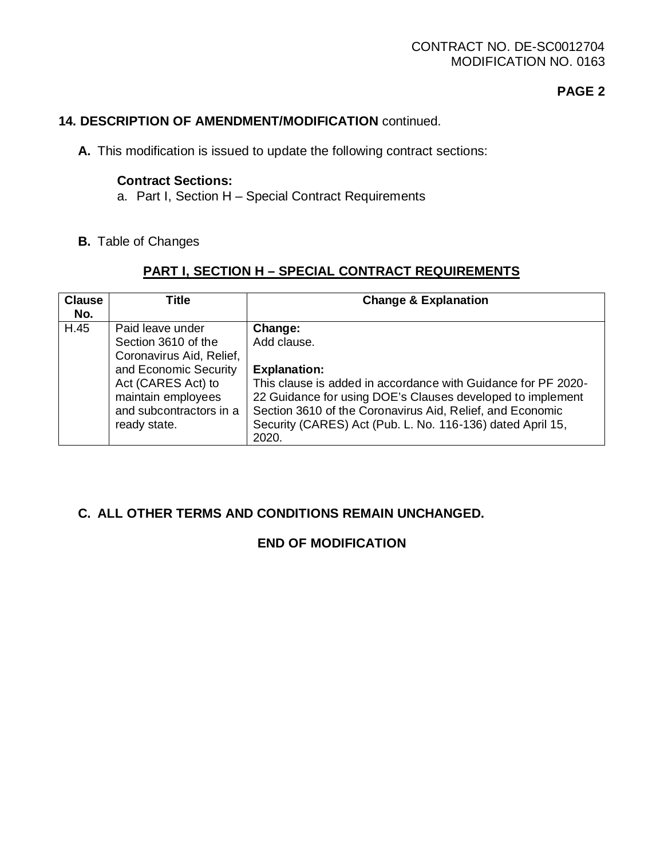## CONTRACT NO. DE-SC0012704 MODIFICATION NO. 0163

# **PAGE 2**

## **14. DESCRIPTION OF AMENDMENT/MODIFICATION** continued.

**A.** This modification is issued to update the following contract sections:

### **Contract Sections:**

- a. Part I, Section H Special Contract Requirements
- **B.** Table of Changes

# **PART I, SECTION H – SPECIAL CONTRACT REQUIREMENTS**

| <b>Clause</b> | Title                                                                                                                                                                               | <b>Change &amp; Explanation</b>                                                                                                                                                                                                                                                                                  |
|---------------|-------------------------------------------------------------------------------------------------------------------------------------------------------------------------------------|------------------------------------------------------------------------------------------------------------------------------------------------------------------------------------------------------------------------------------------------------------------------------------------------------------------|
| No.           |                                                                                                                                                                                     |                                                                                                                                                                                                                                                                                                                  |
| H.45          | Paid leave under<br>Section 3610 of the<br>Coronavirus Aid, Relief,<br>and Economic Security<br>Act (CARES Act) to<br>maintain employees<br>and subcontractors in a<br>ready state. | Change:<br>Add clause.<br><b>Explanation:</b><br>This clause is added in accordance with Guidance for PF 2020-<br>22 Guidance for using DOE's Clauses developed to implement<br>Section 3610 of the Coronavirus Aid, Relief, and Economic<br>Security (CARES) Act (Pub. L. No. 116-136) dated April 15,<br>2020. |

### **C. ALL OTHER TERMS AND CONDITIONS REMAIN UNCHANGED.**

# **END OF MODIFICATION**